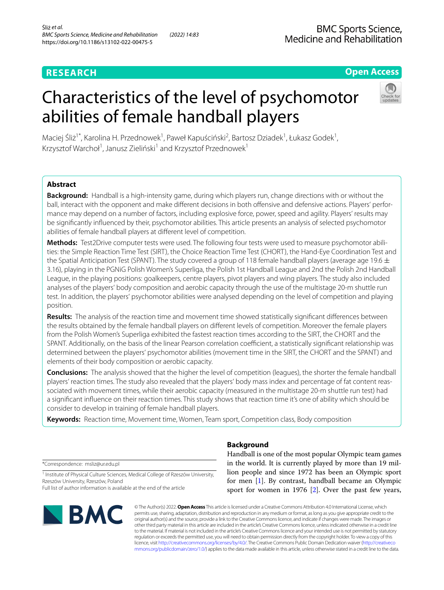# **RESEARCH**

# **Open Access**

# Characteristics of the level of psychomotor abilities of female handball players



Maciej Śliż<sup>1\*</sup>, Karolina H. Przednowek<sup>1</sup>, Paweł Kapuściński<sup>2</sup>, Bartosz Dziadek<sup>1</sup>, Łukasz Godek<sup>1</sup>, Krzysztof Warchoł<sup>1</sup>, Janusz Zieliński<sup>1</sup> and Krzysztof Przednowek<sup>1</sup>

# **Abstract**

**Background:** Handball is a high-intensity game, during which players run, change directions with or without the ball, interact with the opponent and make different decisions in both offensive and defensive actions. Players' performance may depend on a number of factors, including explosive force, power, speed and agility. Players' results may be signifcantly infuenced by their, psychomotor abilities. This article presents an analysis of selected psychomotor abilities of female handball players at diferent level of competition.

**Methods:** Test2Drive computer tests were used. The following four tests were used to measure psychomotor abilities: the Simple Reaction Time Test (SIRT), the Choice Reaction Time Test (CHORT), the Hand-Eye Coordination Test and the Spatial Anticipation Test (SPANT). The study covered a group of 118 female handball players (average age 19.6  $\pm$ 3.16), playing in the PGNiG Polish Women's Superliga, the Polish 1st Handball League and 2nd the Polish 2nd Handball League, in the playing positions: goalkeepers, centre players, pivot players and wing players. The study also included analyses of the players' body composition and aerobic capacity through the use of the multistage 20-m shuttle run test. In addition, the players' psychomotor abilities were analysed depending on the level of competition and playing position.

**Results:** The analysis of the reaction time and movement time showed statistically signifcant diferences between the results obtained by the female handball players on diferent levels of competition. Moreover the female players from the Polish Women's Superliga exhibited the fastest reaction times according to the SIRT, the CHORT and the SPANT. Additionally, on the basis of the linear Pearson correlation coefficient, a statistically significant relationship was determined between the players' psychomotor abilities (movement time in the SIRT, the CHORT and the SPANT) and elements of their body composition or aerobic capacity.

**Conclusions:** The analysis showed that the higher the level of competition (leagues), the shorter the female handball players' reaction times. The study also revealed that the players' body mass index and percentage of fat content reassociated with movement times, while their aerobic capacity (measured in the multistage 20-m shuttle run test) had a signifcant infuence on their reaction times. This study shows that reaction time it's one of ability which should be consider to develop in training of female handball players.

**Keywords:** Reaction time, Movement time, Women, Team sport, Competition class, Body composition

\*Correspondence: msliz@ur.edu.pl

<sup>1</sup> Institute of Physical Culture Sciences, Medical College of Rzeszów University, Rzeszów University, Rzeszów, Poland

Full list of author information is available at the end of the article



# **Background**

Handball is one of the most popular Olympic team games in the world. It is currently played by more than 19 million people and since 1972 has been an Olympic sport for men [[1\]](#page-7-0). By contrast, handball became an Olympic sport for women in 1976 [\[2](#page-7-1)]. Over the past few years,

© The Author(s) 2022. **Open Access** This article is licensed under a Creative Commons Attribution 4.0 International License, which permits use, sharing, adaptation, distribution and reproduction in any medium or format, as long as you give appropriate credit to the original author(s) and the source, provide a link to the Creative Commons licence, and indicate if changes were made. The images or other third party material in this article are included in the article's Creative Commons licence, unless indicated otherwise in a credit line to the material. If material is not included in the article's Creative Commons licence and your intended use is not permitted by statutory regulation or exceeds the permitted use, you will need to obtain permission directly from the copyright holder. To view a copy of this licence, visit [http://creativecommons.org/licenses/by/4.0/.](http://creativecommons.org/licenses/by/4.0/) The Creative Commons Public Domain Dedication waiver ([http://creativeco](http://creativecommons.org/publicdomain/zero/1.0/) [mmons.org/publicdomain/zero/1.0/](http://creativecommons.org/publicdomain/zero/1.0/)) applies to the data made available in this article, unless otherwise stated in a credit line to the data.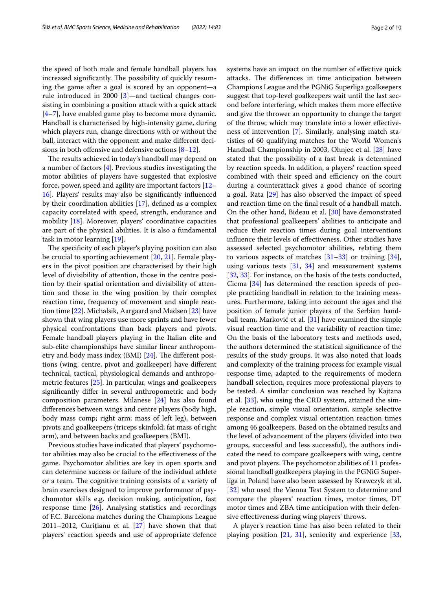the speed of both male and female handball players has increased significantly. The possibility of quickly resuming the game after a goal is scored by an opponent—a rule introduced in 2000 [\[3\]](#page-7-2)—and tactical changes consisting in combining a position attack with a quick attack [[4–](#page-7-3)[7\]](#page-7-4), have enabled game play to become more dynamic. Handball is characterised by high-intensity game, during which players run, change directions with or without the ball, interact with the opponent and make diferent decisions in both offensive and defensive actions  $[8-12]$  $[8-12]$ .

The results achieved in today's handball may depend on a number of factors [[4\]](#page-7-3). Previous studies investigating the motor abilities of players have suggested that explosive force, power, speed and agility are important factors [[12–](#page-8-0) [16\]](#page-8-1). Players' results may also be signifcantly infuenced by their coordination abilities [\[17](#page-8-2)], defned as a complex capacity correlated with speed, strength, endurance and mobility [\[18](#page-8-3)]. Moreover, players' coordinative capacities are part of the physical abilities. It is also a fundamental task in motor learning [[19\]](#page-8-4).

The specificity of each player's playing position can also be crucial to sporting achievement [[20](#page-8-5), [21](#page-8-6)]. Female players in the pivot position are characterised by their high level of divisibility of attention, those in the centre position by their spatial orientation and divisibility of attention and those in the wing position by their complex reaction time, frequency of movement and simple reaction time [\[22](#page-8-7)]. Michalsik, Aargaard and Madsen [[23](#page-8-8)] have shown that wing players use more sprints and have fewer physical confrontations than back players and pivots. Female handball players playing in the Italian elite and sub-elite championships have similar linear anthropometry and body mass index (BMI)  $[24]$ . The different positions (wing, centre, pivot and goalkeeper) have diferent technical, tactical, physiological demands and anthropometric features [\[25](#page-8-10)]. In particular, wings and goalkeepers signifcantly difer in several anthropometric and body composition parameters. Milanese [\[24\]](#page-8-9) has also found diferences between wings and centre players (body high, body mass comp; right arm; mass of left leg), between pivots and goalkeepers (triceps skinfold; fat mass of right arm), and between backs and goalkeepers (BMI).

Previous studies have indicated that players' psychomotor abilities may also be crucial to the efectiveness of the game. Psychomotor abilities are key in open sports and can determine success or failure of the individual athlete or a team. The cognitive training consists of a variety of brain exercises designed to improve performance of psychomotor skills e.g. decision making, anticipation, fast response time [\[26](#page-8-11)]. Analysing statistics and recordings of F.C. Barcelona matches during the Champions League 2011–2012, Curiţianu et al. [[27\]](#page-8-12) have shown that that players' reaction speeds and use of appropriate defence systems have an impact on the number of efective quick attacks. The differences in time anticipation between Champions League and the PGNiG Superliga goalkeepers suggest that top-level goalkeepers wait until the last second before interfering, which makes them more efective and give the thrower an opportunity to change the target of the throw, which may translate into a lower efectiveness of intervention [[7\]](#page-7-4). Similarly, analysing match statistics of 60 qualifying matches for the World Women's Handball Championship in 2003, Ohnjec et al. [[28\]](#page-8-13) have stated that the possibility of a fast break is determined by reaction speeds. In addition, a players' reaction speed combined with their speed and efficiency on the court during a counterattack gives a good chance of scoring a goal. Rata [[29](#page-8-14)] has also observed the impact of speed and reaction time on the fnal result of a handball match. On the other hand, Bideau et al. [\[30](#page-8-15)] have demonstrated that professional goalkeepers' abilities to anticipate and reduce their reaction times during goal interventions infuence their levels of efectiveness. Other studies have assessed selected psychomotor abilities, relating them to various aspects of matches  $[31-33]$  $[31-33]$  or training  $[34]$  $[34]$ , using various tests [\[31](#page-8-16), [34\]](#page-8-18) and measurement systems [[32,](#page-8-19) [33](#page-8-17)]. For instance, on the basis of the tests conducted, Cicma [\[34\]](#page-8-18) has determined the reaction speeds of people practicing handball in relation to the training measures. Furthermore, taking into account the ages and the position of female junior players of the Serbian handball team, Marković et al. [[31\]](#page-8-16) have examined the simple visual reaction time and the variability of reaction time. On the basis of the laboratory tests and methods used, the authors determined the statistical signifcance of the results of the study groups. It was also noted that loads and complexity of the training process for example visual response time, adapted to the requirements of modern handball selection, requires more professional players to be tested. A similar conclusion was reached by Kajtana et al. [\[33\]](#page-8-17), who using the CRD system, attained the simple reaction, simple visual orientation, simple selective response and complex visual orientation reaction times among 46 goalkeepers. Based on the obtained results and the level of advancement of the players (divided into two groups, successful and less successful), the authors indicated the need to compare goalkeepers with wing, centre and pivot players. The psychomotor abilities of 11 professional handball goalkeepers playing in the PGNiG Superliga in Poland have also been assessed by Krawczyk et al. [[32\]](#page-8-19) who used the Vienna Test System to determine and compare the players' reaction times, motor times, DT motor times and ZBA time anticipation with their defensive efectiveness during wing players' throws.

A player's reaction time has also been related to their playing position  $[21, 31]$  $[21, 31]$  $[21, 31]$  $[21, 31]$ , seniority and experience  $[33, 3]$  $[33, 3]$  $[33, 3]$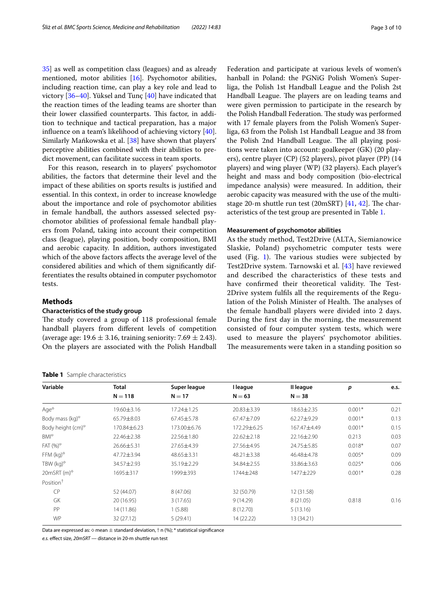[35\]](#page-8-20) as well as competition class (leagues) and as already mentioned, motor abilities [[16](#page-8-1)]. Psychomotor abilities, including reaction time, can play a key role and lead to victory [[36–](#page-8-21)[40\]](#page-8-22). Yüksel and Tunç [\[40](#page-8-22)] have indicated that the reaction times of the leading teams are shorter than their lower classified counterparts. This factor, in addition to technique and tactical preparation, has a major infuence on a team's likelihood of achieving victory [\[40](#page-8-22)]. Similarly Mańkowska et al. [[38\]](#page-8-23) have shown that players' perceptive abilities combined with their abilities to predict movement, can facilitate success in team sports.

For this reason, research in to players' psychomotor abilities, the factors that determine their level and the impact of these abilities on sports results is justifed and essential. In this context, in order to increase knowledge about the importance and role of psychomotor abilities in female handball, the authors assessed selected psychomotor abilities of professional female handball players from Poland, taking into account their competition class (league), playing position, body composition, BMI and aerobic capacity. In addition, authors investigated which of the above factors afects the average level of the considered abilities and which of them signifcantly differentiates the results obtained in computer psychomotor tests.

# **Methods**

## **Characteristics of the study group**

The study covered a group of 118 professional female handball players from diferent levels of competition (average age:  $19.6 \pm 3.16$ , training seniority:  $7.69 \pm 2.43$ ). On the players are associated with the Polish Handball

#### <span id="page-2-0"></span>**Table 1** Sample characteristics

Federation and participate at various levels of women's hanball in Poland: the PGNiG Polish Women's Superliga, the Polish 1st Handball League and the Polish 2st Handball League. The players are on leading teams and were given permission to participate in the research by the Polish Handball Federation. The study was performed with 17 female players from the Polish Women's Superliga, 63 from the Polish 1st Handball League and 38 from the Polish 2nd Handball League. The all playing positions were taken into account: goalkeeper (GK) (20 players), centre player (CP) (52 players), pivot player (PP) (14 players) and wing player (WP) (32 players). Each player's height and mass and body composition (bio-electrical impedance analysis) were measured. In addition, their aerobic capacity was measured with the use of the multistage 20-m shuttle run test (20mSRT)  $[41, 42]$  $[41, 42]$  $[41, 42]$ . The characteristics of the test group are presented in Table [1.](#page-2-0)

## **Measurement of psychomotor abilities**

As the study method, Test2Drive (ALTA, Siemianowice Slaskie, Poland) psychometric computer tests were used (Fig. [1\)](#page-3-0). The various studies were subjected by Test2Drive system. Tarnowski et al. [[43](#page-8-26)] have reviewed and described the characteristics of these tests and have confirmed their theoretical validity. The Test-2Drive system fulfls all the requirements of the Regulation of the Polish Minister of Health. The analyses of the female handball players were divided into 2 days. During the frst day in the morning, the measurement consisted of four computer system tests, which were used to measure the players' psychomotor abilities. The measurements were taken in a standing position so

| Variable                                    | Total        | Super league     | I league         | Il league   | p        | e.s. |
|---------------------------------------------|--------------|------------------|------------------|-------------|----------|------|
|                                             | $N = 118$    | $N = 17$         | $N = 63$         | $N = 38$    |          |      |
| $Aqe^{\diamond}$                            | 19.60 ± 3.16 | $17.24 \pm 1.25$ | 20.83±3.39       | 18.63±2.35  | $0.001*$ | 0.21 |
| Body mass (kg) $\circ$                      | 65.79±8.03   | $67.45 \pm 5.78$ | 67.47±7.09       | 62.27±9.29  | $0.001*$ | 0.13 |
| Body height (cm) <sup>o</sup>               | 170.84±6.23  | 173.00 ± 6.76    | 172.29±6.25      | 167.47±4.49 | $0.001*$ | 0.15 |
| $BM^{\diamond}$                             | 22.46±2.38   | 22.56±1.80       | $22.62 \pm 2.18$ | 22.16±2.90  | 0.213    | 0.03 |
| FAT $(%)^{\diamond}$                        | 26.66±5.31   | 27.65±4.39       | 27.56±4.95       | 24.75±5.85  | $0.018*$ | 0.07 |
| FFM $(kq)$ <sup><math>\diamond</math></sup> | 47.72±3.94   | 48.65±3.31       | $48.21 \pm 3.38$ | 46.48±4.78  | $0.005*$ | 0.09 |
| TBW ( $kg$ ) $\degree$                      | 34.57±2.93   | 35.19±2.29       | 34.84±2.55       | 33.86±3.63  | $0.025*$ | 0.06 |
| $20m$ SRT $(m)$ °                           | 1695±317     | 1999±393         | 1744±248         | 1477±229    | $0.001*$ | 0.28 |
| Position <sup>+</sup>                       |              |                  |                  |             |          |      |
| <b>CP</b>                                   | 52 (44.07)   | 8 (47.06)        | 32 (50.79)       | 12 (31.58)  |          |      |
| GK                                          | 20 (16.95)   | 3(17.65)         | 9(14.29)         | 8 (21.05)   | 0.818    | 0.16 |
| PP                                          | 14 (11.86)   | 1(5.88)          | 8 (12.70)        | 5(13.16)    |          |      |
| <b>WP</b>                                   | 32 (27.12)   | 5(29.41)         | 14 (22.22)       | 13 (34.21)  |          |      |
|                                             |              |                  |                  |             |          |      |

Data are expressed as:  $\diamond$  mean  $\pm$  standard deviation,  $\dagger$  n (%); \* statistical significance

*e.s.* efect size, *20mSRT* — distance in 20-m shuttle run test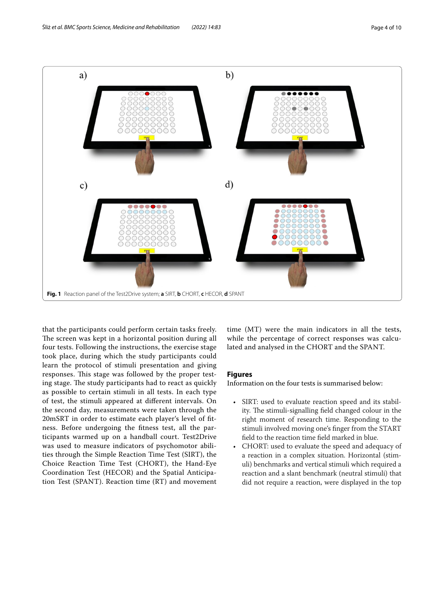

<span id="page-3-0"></span>that the participants could perform certain tasks freely. The screen was kept in a horizontal position during all four tests. Following the instructions, the exercise stage took place, during which the study participants could learn the protocol of stimuli presentation and giving responses. This stage was followed by the proper testing stage. The study participants had to react as quickly as possible to certain stimuli in all tests. In each type of test, the stimuli appeared at diferent intervals. On the second day, measurements were taken through the 20mSRT in order to estimate each player's level of ftness. Before undergoing the ftness test, all the participants warmed up on a handball court. Test2Drive was used to measure indicators of psychomotor abilities through the Simple Reaction Time Test (SIRT), the Choice Reaction Time Test (CHORT), the Hand-Eye Coordination Test (HECOR) and the Spatial Anticipation Test (SPANT). Reaction time (RT) and movement time (MT) were the main indicators in all the tests, while the percentage of correct responses was calculated and analysed in the CHORT and the SPANT.

# **Figures**

Information on the four tests is summarised below:

- SIRT: used to evaluate reaction speed and its stability. The stimuli-signalling field changed colour in the right moment of research time. Responding to the stimuli involved moving one's fnger from the START feld to the reaction time feld marked in blue.
- CHORT: used to evaluate the speed and adequacy of a reaction in a complex situation. Horizontal (stimuli) benchmarks and vertical stimuli which required a reaction and a slant benchmark (neutral stimuli) that did not require a reaction, were displayed in the top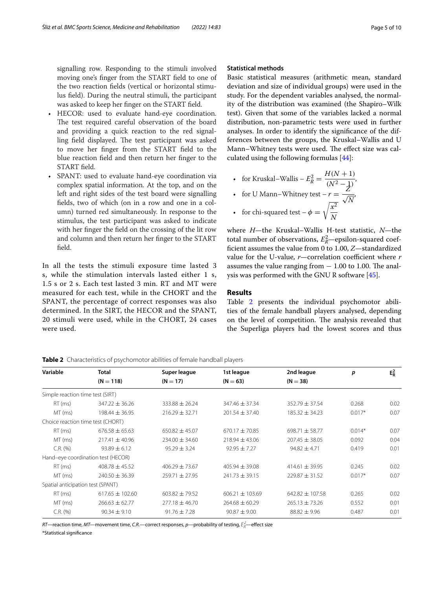signalling row. Responding to the stimuli involved moving one's fnger from the START feld to one of the two reaction felds (vertical or horizontal stimulus feld). During the neutral stimuli, the participant was asked to keep her fnger on the START feld.

- HECOR: used to evaluate hand-eye coordination. The test required careful observation of the board and providing a quick reaction to the red signalling field displayed. The test participant was asked to move her fnger from the START feld to the blue reaction feld and then return her fnger to the START feld.
- SPANT: used to evaluate hand-eye coordination via complex spatial information. At the top, and on the left and right sides of the test board were signalling felds, two of which (on in a row and one in a column) turned red simultaneously. In response to the stimulus, the test participant was asked to indicate with her fnger the feld on the crossing of the lit row and column and then return her fnger to the START feld.

In all the tests the stimuli exposure time lasted 3 s, while the stimulation intervals lasted either 1 s, 1.5 s or 2 s. Each test lasted 3 min. RT and MT were measured for each test, while in the CHORT and the SPANT, the percentage of correct responses was also determined. In the SIRT, the HECOR and the SPANT, 20 stimuli were used, while in the CHORT, 24 cases were used.

# **Statistical methods**

Basic statistical measures (arithmetic mean, standard deviation and size of individual groups) were used in the study. For the dependent variables analysed, the normality of the distribution was examined (the Shapiro–Wilk test). Given that some of the variables lacked a normal distribution, non-parametric tests were used in further analyses. In order to identify the signifcance of the differences between the groups, the Kruskal–Wallis and U Mann–Whitney tests were used. The effect size was calculated using the following formulas [[44\]](#page-8-27):

• for Kruskal–Wallis – 
$$
E_R^2 = \frac{H(N+1)}{(N^2-1)}
$$
,

• for U Mann-Whitney test 
$$
-r = \frac{2}{\sqrt{N}}
$$

• for chi-squared test 
$$
-\phi = \sqrt{\frac{x}{N}}
$$

where *H*—the Kruskal–Wallis H-test statistic, *N*—the total number of observations,  $E_R^2$ —epsilon-squared coeffcient assumes the value from 0 to 1.00, *Z*—standardized value for the U-value, *r*—correlation coefficient where *r* assumes the value ranging from  $-1.00$  to 1.00. The analysis was performed with the GNU R software [[45](#page-8-28)].

# **Results**

Table [2](#page-4-0) presents the individual psychomotor abilities of the female handball players analysed, depending on the level of competition. The analysis revealed that the Superliga players had the lowest scores and thus

<span id="page-4-0"></span>

| Variable                          | <b>Total</b>                       | Super league       | 1st league          | 2nd league          | p        | $E_R^2$ |
|-----------------------------------|------------------------------------|--------------------|---------------------|---------------------|----------|---------|
|                                   | $(N = 118)$                        | $(N = 17)$         | $(N = 63)$          | $(N = 38)$          |          |         |
| Simple reaction time test (SIRT)  |                                    |                    |                     |                     |          |         |
| $RT$ (ms)                         | $347.22 \pm 36.26$                 | $333.88 \pm 26.24$ | $347.46 \pm 37.34$  | $352.79 \pm 37.54$  | 0.268    | 0.02    |
| MT (ms)                           | $198.44 \pm 36.95$                 | $216.29 \pm 32.71$ | $201.54 \pm 37.40$  | $185.32 \pm 34.23$  | $0.017*$ | 0.07    |
| Choice reaction time test (CHORT) |                                    |                    |                     |                     |          |         |
| $RT$ (ms)                         | $676.58 \pm 65.63$                 | $650.82 \pm 45.07$ | $670.17 \pm 70.85$  | 698.71 $\pm$ 58.77  | $0.014*$ | 0.07    |
| MT (ms)                           | $217.41 \pm 40.96$                 | $234.00 \pm 34.60$ | $218.94 \pm 43.06$  | $207.45 \pm 38.05$  | 0.092    | 0.04    |
| $C.R.$ (%)                        | $93.89 \pm 6.12$                   | $95.29 \pm 3.24$   | $92.95 \pm 7.27$    | $94.82 \pm 4.71$    | 0.419    | 0.01    |
|                                   | Hand-eye coordination test (HECOR) |                    |                     |                     |          |         |
| $RT$ (ms)                         | $408.78 \pm 45.52$                 | $406.29 \pm 73.67$ | $405.94 \pm 39.08$  | $414.61 \pm 39.95$  | 0.245    | 0.02    |
| MT (ms)                           | $240.50 \pm 36.39$                 | $259.71 \pm 27.95$ | $241.73 \pm 39.15$  | $229.87 \pm 31.52$  | $0.017*$ | 0.07    |
| Spatial anticipation test (SPANT) |                                    |                    |                     |                     |          |         |
| $RT$ (ms)                         | $617.65 \pm 102.60$                | $603.82 \pm 79.52$ | $606.21 \pm 103.69$ | $642.82 \pm 107.58$ | 0.265    | 0.02    |
| MT (ms)                           | $266.63 \pm 62.77$                 | $277.18 \pm 46.70$ | $264.68 \pm 60.29$  | $265.13 \pm 73.26$  | 0.552    | 0.01    |
| $C.R.$ $(\%)$                     | $90.34 \pm 9.10$                   | $91.76 \pm 7.28$   | $90.87 \pm 9.00$    | $88.82 \pm 9.96$    | 0.487    | 0.01    |

 $R\mathcal{I}$ —reaction time, M $\mathcal{I}$ —movement time, C.R.—correct responses,  $p$ —probability of testing,  $\bar{E}_R^2$ —effect size \*Statistical signifcance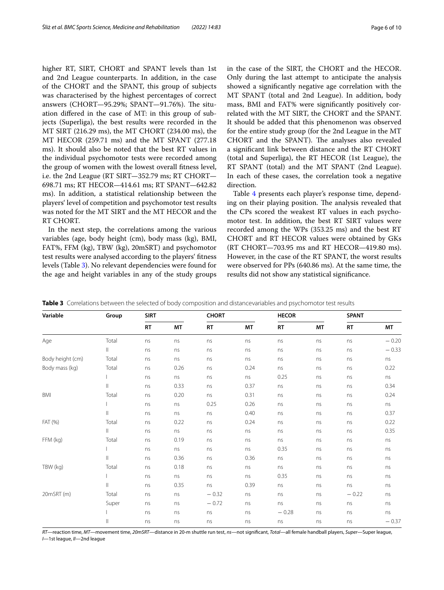higher RT, SIRT, CHORT and SPANT levels than 1st and 2nd League counterparts. In addition, in the case of the CHORT and the SPANT, this group of subjects was characterised by the highest percentages of correct answers (CHORT-95.29%; SPANT-91.76%). The situation difered in the case of MT: in this group of subjects (Superliga), the best results were recorded in the MT SIRT (216.29 ms), the MT CHORT (234.00 ms), the MT HECOR (259.71 ms) and the MT SPANT (277.18 ms). It should also be noted that the best RT values in the individual psychomotor tests were recorded among the group of women with the lowest overall ftness level, i.e. the 2nd League (RT SIRT—352.79 ms; RT CHORT— 698.71 ms; RT HECOR—414.61 ms; RT SPANT—642.82 ms). In addition, a statistical relationship between the players' level of competition and psychomotor test results was noted for the MT SIRT and the MT HECOR and the RT CHORT.

In the next step, the correlations among the various variables (age, body height (cm), body mass (kg), BMI, FAT%, FFM (kg), TBW (kg), 20mSRT) and psychomotor test results were analysed according to the players' ftness levels (Table [3](#page-5-0)). No relevant dependencies were found for the age and height variables in any of the study groups in the case of the SIRT, the CHORT and the HECOR. Only during the last attempt to anticipate the analysis showed a signifcantly negative age correlation with the MT SPANT (total and 2nd League). In addition, body mass, BMI and FAT% were signifcantly positively correlated with the MT SIRT, the CHORT and the SPANT. It should be added that this phenomenon was observed for the entire study group (for the 2nd League in the MT CHORT and the SPANT). The analyses also revealed a signifcant link between distance and the RT CHORT (total and Superliga), the RT HECOR (1st League), the RT SPANT (total) and the MT SPANT (2nd League). In each of these cases, the correlation took a negative direction.

Table [4](#page-6-0) presents each player's response time, depending on their playing position. The analysis revealed that the CPs scored the weakest RT values in each psychomotor test. In addition, the best RT SIRT values were recorded among the WPs (353.25 ms) and the best RT CHORT and RT HECOR values were obtained by GKs (RT CHORT—703.95 ms and RT HECOR—419.80 ms). However, in the case of the RT SPANT, the worst results were observed for PPs (640.86 ms). At the same time, the results did not show any statistical signifcance.

| Variable         | Group        | <b>SIRT</b> |      | <b>CHORT</b> |      | <b>HECOR</b> |    |           | <b>SPANT</b> |  |
|------------------|--------------|-------------|------|--------------|------|--------------|----|-----------|--------------|--|
|                  |              | <b>RT</b>   | MT   | <b>RT</b>    | MT   | <b>RT</b>    | MT | <b>RT</b> | MT           |  |
| Age              | Total        | ns          | ns   | ns           | ns   | ns           | ns | ns        | $-0.20$      |  |
|                  | $\vert\vert$ | ns          | ns   | ns           | ns   | ns           | ns | ns        | $-0.33$      |  |
| Body height (cm) | Total        | ns          | ns   | ns           | ns   | ns           | ns | ns        | ns           |  |
| Body mass (kg)   | Total        | ns          | 0.26 | ns           | 0.24 | ns           | ns | ns        | 0.22         |  |
|                  |              | ns          | ns   | ns           | ns   | 0.25         | ns | ns        | ns           |  |
|                  | $\mathbb{H}$ | ns          | 0.33 | ns           | 0.37 | ns           | ns | ns        | 0.34         |  |
| BMI              | Total        | ns          | 0.20 | ns           | 0.31 | ns           | ns | ns        | 0.24         |  |
|                  |              | ns          | ns   | 0.25         | 0.26 | ns           | ns | ns        | ns           |  |
|                  | $\vert\vert$ | ns          | ns   | ns           | 0.40 | ns           | ns | ns        | 0.37         |  |
| FAT (%)          | Total        | ns          | 0.22 | ns           | 0.24 | ns           | ns | ns        | 0.22         |  |
|                  | $\vert\vert$ | ns          | ns   | ns           | ns   | ns           | ns | ns        | 0.35         |  |
| FFM (kg)         | Total        | ns          | 0.19 | ns           | ns   | ns           | ns | ns        | ns           |  |
|                  |              | ns          | ns   | ns           | ns   | 0.35         | ns | ns        | ns           |  |
|                  | $\mathbb{H}$ | ns          | 0.36 | ns           | 0.36 | ns           | ns | ns        | ns           |  |
| TBW (kg)         | Total        | ns          | 0.18 | ns           | ns   | ns           | ns | ns        | ns           |  |
|                  |              | ns          | ns   | ns           | ns   | 0.35         | ns | ns        | ns           |  |
|                  | $\mathbb{H}$ | ns          | 0.35 | ns           | 0.39 | ns           | ns | ns        | ns           |  |
| 20mSRT (m)       | Total        | ns          | ns   | $-0.32$      | ns   | ns           | ns | $-0.22$   | ns           |  |
|                  | Super        | ns          | ns   | $-0.72$      | ns   | ns           | ns | ns        | ns           |  |
|                  |              | ns          | ns   | ns           | ns   | $-0.28$      | ns | ns        | ns           |  |
|                  | $\mathbb{I}$ | ns          | ns   | ns           | ns   | ns           | ns | ns        | $-0.37$      |  |

<span id="page-5-0"></span>**Table 3** Correlations between the selected of body composition and distancevariables and psychomotor test results

*RT*—reaction time, *MT*—movement time, *20mSRT*—distance in 20-m shuttle run test, *ns*—not signifcant, *Total*—all female handball players, *Super*—Super league, *I*—1st league, *II*—2nd league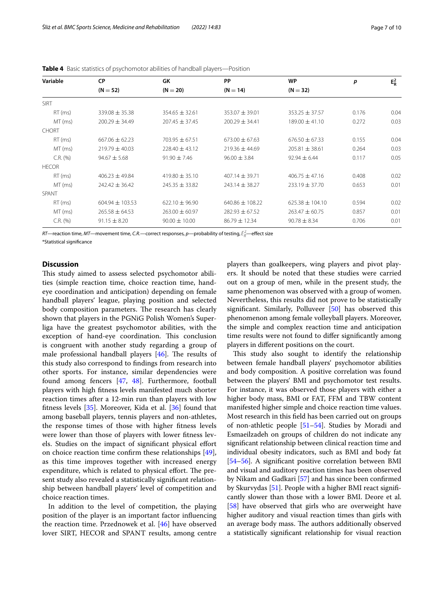| Variable      | <b>CP</b>           | GK                 | PP                  | <b>WP</b>                   | p     | $E_R^2$ |
|---------------|---------------------|--------------------|---------------------|-----------------------------|-------|---------|
|               | $(N = 52)$          | $(N = 20)$         | $(N = 14)$          | $(N = 32)$                  |       |         |
| <b>SIRT</b>   |                     |                    |                     |                             |       |         |
| $RT$ (ms)     | $339.08 \pm 35.38$  | $354.65 \pm 32.61$ | $353.07 \pm 39.01$  | $353.25 \pm 37.57$          | 0.176 | 0.04    |
| MT (ms)       | $200.29 \pm 34.49$  | $207.45 \pm 37.45$ | $200.29 \pm 34.41$  | $189.00 \pm 41.10$          | 0.272 | 0.03    |
| <b>CHORT</b>  |                     |                    |                     |                             |       |         |
| $RT$ (ms)     | $667.06 \pm 62.23$  | $703.95 \pm 67.51$ | $673.00 \pm 67.63$  | $676.50 \pm 67.33$          | 0.155 | 0.04    |
| MT (ms)       | $219.79 \pm 40.03$  | $228.40 \pm 43.12$ | $219.36 \pm 44.69$  | $205.81 \pm 38.61$          | 0.264 | 0.03    |
| $C.R.$ (%)    | $94.67 \pm 5.68$    | $91.90 \pm 7.46$   | $96.00 \pm 3.84$    | $92.94 \pm 6.44$            | 0.117 | 0.05    |
| <b>HECOR</b>  |                     |                    |                     |                             |       |         |
| $RT$ (ms)     | $406.23 \pm 49.84$  | $419.80 \pm 35.10$ | $407.14 \pm 39.71$  | 0.408<br>$406.75 \pm 47.16$ |       | 0.02    |
| $MT$ (ms)     | $242.42 \pm 36.42$  | $245.35 \pm 33.82$ | $243.14 \pm 38.27$  | $233.19 \pm 37.70$          | 0.653 | 0.01    |
| SPANT         |                     |                    |                     |                             |       |         |
| $RT$ (ms)     | $604.94 \pm 103.53$ | $622.10 \pm 96.90$ | $640.86 \pm 108.22$ | $625.38 \pm 104.10$         | 0.594 | 0.02    |
| MT (ms)       | $265.58 \pm 64.53$  | $263.00 \pm 60.97$ | $282.93 \pm 67.52$  | $263.47 \pm 60.75$          | 0.857 | 0.01    |
| $C.R.$ $(\%)$ | $91.15 \pm 8.20$    | $90.00 \pm 10.00$  | $86.79 \pm 12.34$   | $90.78 \pm 8.34$            | 0.706 | 0.01    |

<span id="page-6-0"></span>**Table 4** Basic statistics of psychomotor abilities of handball players—Position

*RT—r*eaction time, *MT—*movement time, C.*R.—*correct responses, *p—*probability of testing,  $\bar{E}_R^2$ —effect size \*Statistical signifcance

# **Discussion**

This study aimed to assess selected psychomotor abilities (simple reaction time, choice reaction time, handeye coordination and anticipation) depending on female handball players' league, playing position and selected body composition parameters. The research has clearly shown that players in the PGNiG Polish Women's Superliga have the greatest psychomotor abilities, with the exception of hand-eye coordination. This conclusion is congruent with another study regarding a group of male professional handball players  $[46]$ . The results of this study also correspond to fndings from research into other sports. For instance, similar dependencies were found among fencers [\[47](#page-8-30), [48](#page-8-31)]. Furthermore, football players with high ftness levels manifested much shorter reaction times after a 12-min run than players with low ftness levels [[35\]](#page-8-20). Moreover, Kida et al. [\[36\]](#page-8-21) found that among baseball players, tennis players and non-athletes, the response times of those with higher ftness levels were lower than those of players with lower ftness levels. Studies on the impact of signifcant physical efort on choice reaction time confrm these relationships [\[49](#page-8-32)], as this time improves together with increased energy expenditure, which is related to physical effort. The present study also revealed a statistically signifcant relationship between handball players' level of competition and choice reaction times.

In addition to the level of competition, the playing position of the player is an important factor infuencing the reaction time. Przednowek et al. [[46\]](#page-8-29) have observed lover SIRT, HECOR and SPANT results, among centre

players than goalkeepers, wing players and pivot players. It should be noted that these studies were carried out on a group of men, while in the present study, the same phenomenon was observed with a group of women. Nevertheless, this results did not prove to be statistically signifcant. Similarly, Polluveer [\[50](#page-8-33)] has observed this phenomenon among female volleyball players. Moreover, the simple and complex reaction time and anticipation time results were not found to difer signifcantly among players in diferent positions on the court.

This study also sought to identify the relationship between female handball players' psychomotor abilities and body composition. A positive correlation was found between the players' BMI and psychomotor test results. For instance, it was observed those players with either a higher body mass, BMI or FAT, FFM and TBW content manifested higher simple and choice reaction time values. Most research in this feld has been carried out on groups of non-athletic people [[51](#page-8-34)[–54](#page-8-35)]. Studies by Moradi and Esmaeilzadeh on groups of children do not indicate any signifcant relationship between clinical reaction time and individual obesity indicators, such as BMI and body fat [[54](#page-8-35)[–56](#page-8-36)]. A signifcant positive correlation between BMI and visual and auditory reaction times has been observed by Nikam and Gadkari [[57](#page-8-37)] and has since been confrmed by Skurvydas [\[51\]](#page-8-34). People with a higher BMI react signifcantly slower than those with a lower BMI. Deore et al. [[58\]](#page-9-0) have observed that girls who are overweight have higher auditory and visual reaction times than girls with an average body mass. The authors additionally observed a statistically signifcant relationship for visual reaction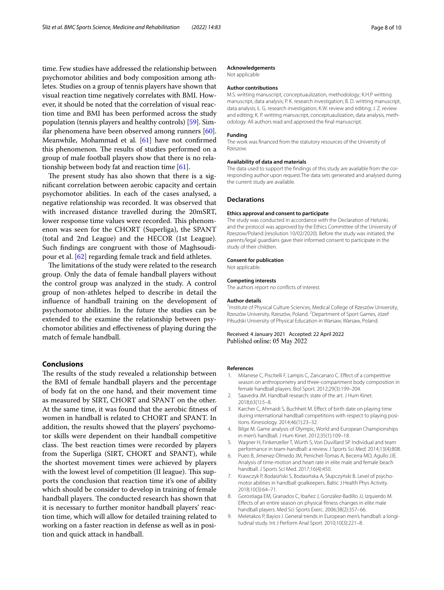time. Few studies have addressed the relationship between psychomotor abilities and body composition among athletes. Studies on a group of tennis players have shown that visual reaction time negatively correlates with BMI. However, it should be noted that the correlation of visual reaction time and BMI has been performed across the study population (tennis players and healthy controls) [\[59\]](#page-9-1). Similar phenomena have been observed among runners [\[60](#page-9-2)]. Meanwhile, Mohammad et al. [[61](#page-9-3)] have not confrmed this phenomenon. The results of studies performed on a group of male football players show that there is no relationship between body fat and reaction time [\[61\]](#page-9-3).

The present study has also shown that there is a signifcant correlation between aerobic capacity and certain psychomotor abilities. In each of the cases analysed, a negative relationship was recorded. It was observed that with increased distance travelled during the 20mSRT, lower response time values were recorded. This phenomenon was seen for the CHORT (Superliga), the SPANT (total and 2nd League) and the HECOR (1st League). Such fndings are congruent with those of Maghsoudipour et al. [\[62](#page-9-4)] regarding female track and feld athletes.

The limitations of the study were related to the research group. Only the data of female handball players without the control group was analyzed in the study. A control group of non-athletes helped to describe in detail the infuence of handball training on the development of psychomotor abilities. In the future the studies can be extended to the examine the relationship between psychomotor abilities and efectiveness of playing during the match of female handball.

# **Conclusions**

The results of the study revealed a relationship between the BMI of female handball players and the percentage of body fat on the one hand, and their movement time as measured by SIRT, CHORT and SPANT on the other. At the same time, it was found that the aerobic ftness of women in handball is related to CHORT and SPANT. In addition, the results showed that the players' psychomotor skills were dependent on their handball competitive class. The best reaction times were recorded by players from the Superliga (SIRT, CHORT and SPANT), while the shortest movement times were achieved by players with the lowest level of competition (II league). This supports the conclusion that reaction time it's one of ability which should be consider to develop in training of female handball players. The conducted research has shown that it is necessary to further monitor handball players' reaction time, which will allow for detailed training related to working on a faster reaction in defense as well as in position and quick attack in handball.

#### **Acknowledgements**

Not applicable

#### **Author contributions**

M.S. writting manuscript, conceptuaulization, methodology; K.H.P writting manuscript, data analysis; P. K. research investigation; B. D. writting manuscript, data analysis; Ł. G. research investigation; K.W. review and editing; J. Z. review and editing; K. P. writting manuscript, conceptuaulization, data analysis, methodology. All authors read and approved the fnal manuscript.

#### **Funding**

The work was fnanced from the statutory resources of the University of Rzeszow.

#### **Availability of data and materials**

The data used to support the fndings of this study are available from the corresponding author upon request.The data sets generated and analysed during the current study are available.

#### **Declarations**

#### **Ethics approval and consent to participate**

The study was conducted in accordance with the Declaration of Helsinki, and the protocol was approved by the Ethics Committee of the University of Rzeszow/Poland (resolution 10/02/2020). Before the study was initiated, the parents/legal guardians gave their informed consent to participate in the study of their children.

#### **Consent for publication**

Not applicable.

#### **Competing interests**

The authors report no conficts of interest.

#### **Author details**

<sup>1</sup> Institute of Physical Culture Sciences, Medical College of Rzeszów University, Rzeszów University, Rzeszów, Poland. <sup>2</sup> Department of Sport Games, Józef Piłsudski University of Physical Education in Warsaw, Warsaw, Poland.

Received: 4 January 2021 Accepted: 22 April 2022 Published online: 05 May 2022

#### **References**

- <span id="page-7-0"></span>1. Milanese C, Piscitelli F, Lampis C, Zancanaro C. Efect of a competitive season on anthropometry and three-compartment body composition in female handball players. Biol Sport. 2012;29(3):199–204.
- <span id="page-7-1"></span>2. Saavedra JM. Handball research: state of the art. J Hum Kinet. 2018;63(1):5–8.
- <span id="page-7-2"></span>3. Karcher C, Ahmaidi S, Buchheit M. Efect of birth date on playing time during international handball competitions with respect to playing positions. Kinesiology. 2014;46(1):23–32.
- <span id="page-7-3"></span>4. Bilge M. Game analysis of Olympic, World and European Championships in men's handball. J Hum Kinet. 2012;35(1):109–18.
- 5. Wagner H, Finkenzeller T, Würth S, Von Duvillard SP. Individual and team performance in team-handball: a review. J Sports Sci Med. 2014;13(4):808.
- 6. Pueo B, Jimenez-Olmedo JM, Penichet-Tomas A, Becerra MO, Agullo JJE. Analysis of time-motion and heart rate in elite male and female beach handball. J Sports Sci Med. 2017;16(4):450.
- <span id="page-7-4"></span>7. Krawczyk P, Bodasiński S, Bodasińska A, Słupczyński B. Level of psychomotor abilities in handball goalkeepers. Baltic J Health Phys Activity. 2018;10(3):64–71.
- <span id="page-7-5"></span>8. Gorostiaga EM, Granados C, Ibañez J, González-Badillo JJ, Izquierdo M. Efects of an entire season on physical ftness changes in elite male handball players. Med Sci Sports Exerc. 2006;38(2):357–66.
- 9. Meletakos P, Bayios I. General trends in European men's handball: a longitudinal study. Int J Perform Anal Sport. 2010;10(3):221–8.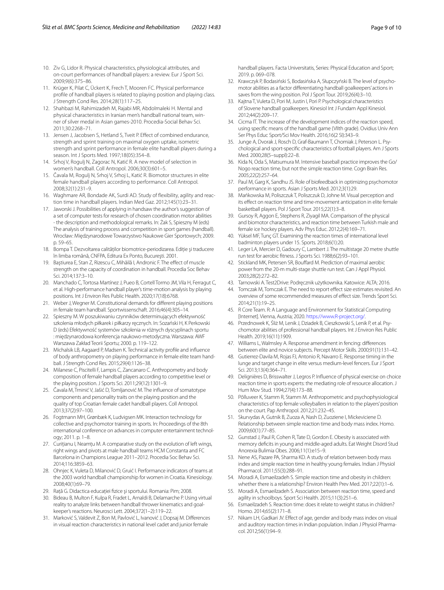- 10. Ziv G, Lidor R. Physical characteristics, physiological attributes, and on-court performances of handball players: a review. Eur J Sport Sci. 2009;9(6):375–86.
- 11. Krüger K, Pilat C, Ückert K, Frech T, Mooren FC. Physical performance profle of handball players is related to playing position and playing class. J Strength Cond Res. 2014;28(1):117–25.
- <span id="page-8-0"></span>12. Shahbazi M, Rahimizadeh M, Rajabi MR, Abdolmaleki H. Mental and physical characteristics in Iranian men's handball national team, winner of silver medal in Asian games-2010. Procedia-Social Behav Sci. 2011;30:2268–71.
- 13. Jensen J, Jacobsen S, Hetland S, Tveit P. Efect of combined endurance, strength and sprint training on maximal oxygen uptake, isometric strength and sprint performance in female elite handball players during a season. Int J Sports Med. 1997;18(05):354–8.
- 14. Srhoj V, Rogulj N, Zagorac N, Katić R. A new model of selection in women's handball. Coll Antropol. 2006;30(3):601–5.
- 15. Čavala M, Rogulj N, Srhoj V, Srhoj L, Katić R. Biomotor structures in elite female handball players according to performance. Coll Antropol. 2008;32(1):231–9.
- <span id="page-8-1"></span>16. Waghmare AR, Bondade AK, Surdi AD. Study of fexibility, agility and reaction time in handball players. Indian Med Gaz. 2012;145(1):23–31.
- <span id="page-8-2"></span>17. Jaworski J. Possibilities of applying in handsaw the author's suggestion of a set of computer tests for research of chosen coordination motor abilities - the description and methodological remarks. In: Żak S, Spieszny M (eds) The analysis of training process and competition in sport games (handball). Wrocław: Międzynarodowe Towarzystwo Naukowe Gier Sportowych; 2009. p. 59–65.
- <span id="page-8-3"></span>18. Bompa T. Dezvoltarea calităţilor biomotrice-periodizarea. Ediţie şi traducere în limba română, CNFPA, Editura Ex Ponto, Bucureşti. 2001.
- <span id="page-8-4"></span>19. Baştiurea E, Stan Z, Rizescu C, Mihăilă I, Andronic F. The efect of muscle strength on the capacity of coordination in handball. Procedia Soc Behav Sci. 2014;137:3–10.
- <span id="page-8-5"></span>20. Manchado C, Tortosa Martínez J, Pueo B, Cortell Tormo JM, Vila H, Ferragut C, et al. High-performance handball player's time-motion analysis by playing positions. Int J Environ Res Public Health. 2020;17(18):6768.
- <span id="page-8-6"></span>21. Weber J, Wegner M. Constitutional demands for diferent playing positions in female team handball. Sportwissenschaft. 2016;46(4):305–14.
- <span id="page-8-7"></span>22. Spieszny M. W poszukiwaniu czynników determinujących efektywność szkolenia młodych piłkarek i piłkarzy ręcznych. In: Sozański H, K Perkowski D (eds) Efektywność systemów szkolenia w różnych dyscyplinach sportu : międzynarodowa konferencja naukowo-metodyczna. Warszawa: AWF Warszawa Zakład Teorii Sportu; 2000. p. 119–122.
- <span id="page-8-8"></span>23. Michalsik LB, Aagaard P, Madsen K. Technical activity profle and infuence of body anthropometry on playing performance in female elite team handball. J Strength Cond Res. 2015;29(4):1126–38.
- <span id="page-8-9"></span>24. Milanese C, Piscitelli F, Lampis C, Zancanaro C. Anthropometry and body composition of female handball players according to competitive level or the playing position. J Sports Sci. 2011;29(12):1301–9.
- <span id="page-8-10"></span>25. Čavala M, Trninić V, Jašić D, Tomljanović M. The infuence of somatotype components and personality traits on the playing position and the quality of top Croatian female cadet handball players. Coll Antropol. 2013;37(2):97–100.
- <span id="page-8-11"></span>26. Fogtmann MH, Grønbæk K, Ludvigsen MK. Interaction technology for collective and psychomotor training in sports. In: Proceedings of the 8th international conference on advances in computer entertainment technology; 2011. p. 1–8.
- <span id="page-8-12"></span>27. Curițianu I, Neamțu M. A comparative study on the evolution of left wings, right wings and pivots at male handball teams HCM Constanta and FC Barcelona in Champions League 2011–2012. Procedia Soc Behav Sci. 2014;116:3859–63.
- <span id="page-8-13"></span>28. Ohnjec K, Vuleta D, Milanović D, Gruić I. Performance indicators of teams at the 2003 world handball championship for women in Croatia. Kinesiology. 2008;40(1):69–79.
- <span id="page-8-14"></span>29. Raţă G. Didactica educaţiei fzice şi sportului. Romania: Pim; 2008.
- <span id="page-8-15"></span>30. Bideau B, Multon F, Kulpa R, Fradet L, Arnaldi B, Delamarche P. Using virtual reality to analyze links between handball thrower kinematics and goalkeeper's reactions. Neurosci Lett. 2004;372(1–2):119–22.
- <span id="page-8-16"></span>31. Marković S, Valdevit Z, Bon M, Pavlović L, Ivanović J, Dopsaj M. Diferences in visual reaction characteristics in national level cadet and junior female

handball players. Facta Universitatis, Series: Physical Education and Sport; 2019. p. 069–078.

- <span id="page-8-19"></span>32. Krawczyk P, Bodasiński S, Bodasińska A, Słupczyński B. The level of psychomotor abilities as a factor diferentiating handball goalkeepers' actions in saves from the wing position. Pol J Sport Tour. 2019;26(4):3–10.
- <span id="page-8-17"></span>33. Kajtna T, Vuleta D, Pori M, Justin I, Pori P. Psychological characteristics of Slovene handball goalkeepers. Kinesiol Int J Fundam Appl Kinesiol. 2012;44(2):209–17.
- <span id="page-8-18"></span>34. Cicma IT. The increase of the development indices of the reaction speed, using specifc means of the handball game (VIIth grade). Ovidius Univ Ann Ser Phys Educ Sport/Sci Mov Health. 2016;16(2 SI):343–9.
- <span id="page-8-20"></span>35. Junge A, Dvorak J, Rosch D, Graf-Baumann T, Chomiak J, Peterson L. Psychological and sport-specifc characteristics of football players. Am J Sports Med. 2000;28(5–suppl):22–8.
- <span id="page-8-21"></span>36. Kida N, Oda S, Matsumura M. Intensive baseball practice improves the Go/ Nogo reaction time, but not the simple reaction time. Cogn Brain Res. 2005;22(2):257–64.
- 37. Paul M, Garg K, Sandhu JS. Role of biofeedback in optimizing psychomotor performance in sports. Asian J Sports Med. 2012;3(1):29.
- <span id="page-8-23"></span>38. Mańkowska M, Poliszczuk T, Poliszczuk D, Johne M. Visual perception and its efect on reaction time and time-movement anticipation in elite female basketball players. Pol J Sport Tour. 2015;22(1):3–8.
- 39. Gursoy R, Aggon E, Stephens R, Ziyagil MA. Comparison of the physical and biomotor characteristics, and reaction time between Turkish male and female ice hockey players. Adv Phys Educ. 2012;2(4):169–71.
- <span id="page-8-22"></span>40. Yüksel MF, Tunç GT. Examining the reaction times of international level badminton players under 15. Sports. 2018;6(1):20.
- <span id="page-8-24"></span>41. Leger LA, Mercier D, Gadoury C, Lambert J. The multistage 20 metre shuttle run test for aerobic ftness. J Sports Sci. 1988;6(2):93–101.
- <span id="page-8-25"></span>42. Stickland MK, Petersen SR, Boufard M. Prediction of maximal aerobic power from the 20-m multi-stage shuttle run test. Can J Appl Physiol. 2003;28(2):272–82.
- <span id="page-8-26"></span>43. Tarnowski A. Test2Drive: Podręcznik użytkownika. Katowice: ALTA; 2016.
- <span id="page-8-27"></span>44. Tomczak M, Tomczak E. The need to report effect size estimates revisited. An overview of some recommended measures of efect size. Trends Sport Sci. 2014;21(1):19–25.
- <span id="page-8-28"></span>45. R Core Team. R: A Language and Environment for Statistical Computing [Internet]. Vienna, Austria; 2020.<https://www.R-project.org/>.
- <span id="page-8-29"></span>46. Przednowek K, Śliż M, Lenik J, Dziadek B, Cieszkowski S, Lenik P, et al. Psychomotor abilities of professional handball players. Int J Environ Res Public Health. 2019;16(11):1909.
- <span id="page-8-30"></span>47. Williams L, Walmsley A. Response amendment in fencing: diferences between elite and novice subjects. Percept Motor Skills. 2000;91(1):131–42.
- <span id="page-8-31"></span>48. Gutierrez-Davila M, Rojas FJ, Antonio R, Navarro E. Response timing in the lunge and target change in elite versus medium-level fencers. Eur J Sport Sci. 2013;13(4):364–71.
- <span id="page-8-32"></span>49. Delignières D, Brisswalter J, Legros P. Infuence of physical exercise on choice reaction time in sports experts: the mediating role of resource allocation. J Hum Mov Stud. 1994;27(4):173–88.
- <span id="page-8-33"></span>50. Põlluveer K, Stamm R, Stamm M. Anthropometric and psychophysiological characteristics of top female volleyballers in relation to the players' position on the court. Pap Anthropol. 2012;21:232–45.
- <span id="page-8-34"></span>51. Skurvydas A, Gutnik B, Zuoza A, Nash D, Zuoziene I, Mickeviciene D. Relationship between simple reaction time and body mass index. Homo. 2009;60(1):77–85.
- 52. Gunstad J, Paul R, Cohen R, Tate D, Gordon E. Obesity is associated with memory defcits in young and middle-aged adults. Eat Weight Disord Stud Anorexia Bulimia Obes. 2006;11(1):e15–9.
- 53. Nene AS, Pazare PA, Sharma KD. A study of relation between body mass index and simple reaction time in healthy young females. Indian J Physiol Pharmacol. 2011;55(3):288–91.
- <span id="page-8-35"></span>54. Moradi A, Esmaeilzadeh S. Simple reaction time and obesity in children: whether there is a relationship? Environ Health Prev Med. 2017;22(1):1–6.
- 55. Moradi A, Esmaeilzadeh S. Association between reaction time, speed and agility in schoolboys. Sport Sci Health. 2015;11(3):251–6.
- <span id="page-8-36"></span>56. Esmaeilzadeh S. Reaction time: does it relate to weight status in children? Homo. 2014;65(2):171–8.
- <span id="page-8-37"></span>57. Nikam LH, Gadkari JV. Efect of age, gender and body mass index on visual and auditory reaction times in Indian population. Indian J Physiol Pharmacol. 2012;56(1):94–9.